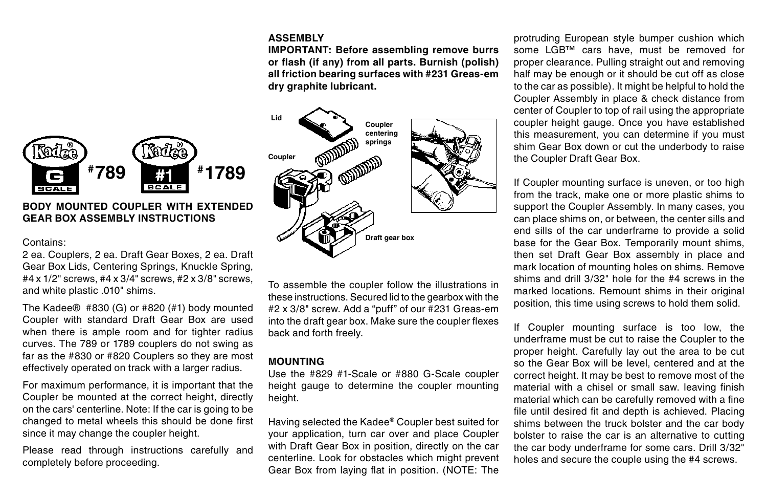### **ASSEMBLY**

**IMPORTANT: Before assembling remove burrs or flash (if any) from all parts. Burnish (polish) all friction bearing surfaces with #231 Greas-em dry graphite lubricant.**



# **BODY MOUNTED COUPLER WITH EXTENDED GEAR BOX ASSEMBLY INSTRUCTIONS**

#### Contains:

۴ar e **SCALE** 

2 ea. Couplers, 2 ea. Draft Gear Boxes, 2 ea. Draft Gear Box Lids, Centering Springs, Knuckle Spring, #4 x 1/2" screws, #4 x 3/4" screws, #2 x 3/8" screws, and white plastic .010" shims.

The Kadee® #830 (G) or #820 (#1) body mounted Coupler with standard Draft Gear Box are used when there is ample room and for tighter radius curves. The 789 or 1789 couplers do not swing as far as the #830 or #820 Couplers so they are most effectively operated on track with a larger radius.

For maximum performance, it is important that the Coupler be mounted at the correct height, directly on the cars' centerline. Note: If the car is going to be changed to metal wheels this should be done first since it may change the coupler height.

Please read through instructions carefully and completely before proceeding.

To assemble the coupler follow the illustrations in these instructions. Secured lid to the gearbox with the #2 x 3/8" screw. Add a "puff" of our #231 Greas-em into the draft gear box. Make sure the coupler flexes back and forth freely.

## **MOUNTING**

Use the #829 #1-Scale or #880 G-Scale coupler height gauge to determine the coupler mounting height.

Having selected the Kadee® Coupler best suited for your application, turn car over and place Coupler with Draft Gear Box in position, directly on the car centerline. Look for obstacles which might prevent Gear Box from laying flat in position. (NOTE: The protruding European style bumper cushion which some LGB™ cars have, must be removed for proper clearance. Pulling straight out and removing half may be enough or it should be cut off as close to the car as possible). It might be helpful to hold the Coupler Assembly in place & check distance from center of Coupler to top of rail using the appropriate coupler height gauge. Once you have established this measurement, you can determine if you must shim Gear Box down or cut the underbody to raise the Coupler Draft Gear Box.

If Coupler mounting surface is uneven, or too high from the track, make one or more plastic shims to support the Coupler Assembly. In many cases, you can place shims on, or between, the center sills and end sills of the car underframe to provide a solid base for the Gear Box. Temporarily mount shims, then set Draft Gear Box assembly in place and mark location of mounting holes on shims. Remove shims and drill 3/32" hole for the #4 screws in the marked locations. Remount shims in their original position, this time using screws to hold them solid.

If Coupler mounting surface is too low, the underframe must be cut to raise the Coupler to the proper height. Carefully lay out the area to be cut so the Gear Box will be level, centered and at the correct height. It may be best to remove most of the material with a chisel or small saw. leaving finish material which can be carefully removed with a fine file until desired fit and depth is achieved. Placing shims between the truck bolster and the car body bolster to raise the car is an alternative to cutting the car body underframe for some cars. Drill 3/32" holes and secure the couple using the #4 screws.